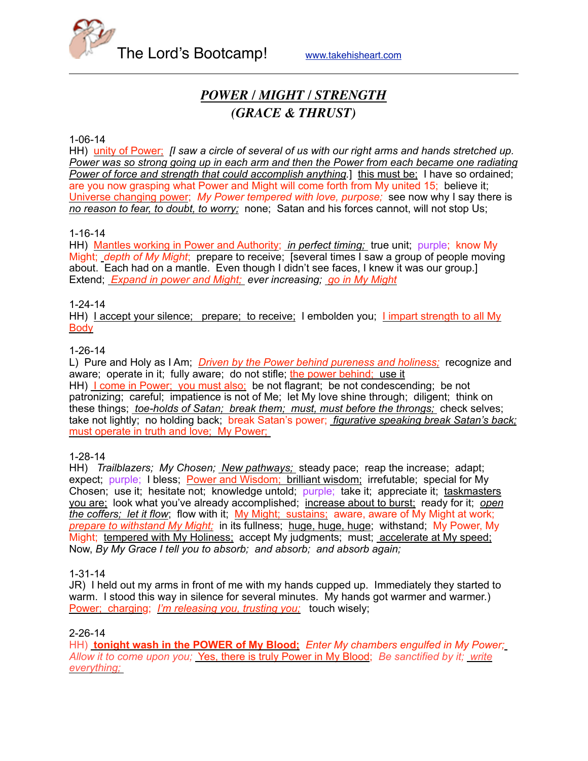

# *POWER / MIGHT / STRENGTH (GRACE & THRUST)*

#### 1-06-14

HH) unity of Power; *[I saw a circle of several of us with our right arms and hands stretched up. Power was so strong going up in each arm and then the Power from each became one radiating Power of force and strength that could accomplish anything.*] this must be; I have so ordained; are you now grasping what Power and Might will come forth from My united 15; believe it; Universe changing power; *My Power tempered with love, purpose;* see now why I say there is *no reason to fear, to doubt, to worry;* none; Satan and his forces cannot, will not stop Us;

## 1-16-14

HH) Mantles working in Power and Authority; *in perfect timing;* true unit; purple; know My Might; *depth of My Might*; prepare to receive; [several times I saw a group of people moving about. Each had on a mantle. Even though I didn't see faces, I knew it was our group.] Extend; *Expand in power and Might; ever increasing; go in My Might*

## 1-24-14

HH) Laccept your silence; prepare; to receive; I embolden you; Limpart strength to all My **Body** 

## 1-26-14

L) Pure and Holy as I Am; *Driven by the Power behind pureness and holiness;* recognize and aware; operate in it; fully aware; do not stifle; the power behind; use it HH) <u>I come in Power; you must also;</u> be not flagrant; be not condescending; be not patronizing; careful; impatience is not of Me; let My love shine through; diligent; think on these things; *toe-holds of Satan; break them; must, must before the throngs;* check selves; take not lightly; no holding back; break Satan's power; *figurative speaking break Satan's back;* must operate in truth and love; My Power;

#### 1-28-14

HH) *Trailblazers; My Chosen; New pathways;* steady pace; reap the increase; adapt; expect; purple; I bless; **Power and Wisdom; brilliant wisdom;** irrefutable; special for My Chosen; use it; hesitate not; knowledge untold; purple; take it; appreciate it; taskmasters you are; look what you've already accomplished; increase about to burst; ready for it; *open the coffers; let it flow*; flow with it; My Might; sustains; aware, aware of My Might at work; *prepare to withstand My Might;* in its fullness; huge, huge, huge; withstand; My Power, My Might; tempered with My Holiness; accept My judgments; must; accelerate at My speed; Now, *By My Grace I tell you to absorb; and absorb; and absorb again;* 

#### 1-31-14

JR) I held out my arms in front of me with my hands cupped up. Immediately they started to warm. I stood this way in silence for several minutes. My hands got warmer and warmer.) Power; charging; *I'm releasing you, trusting you;* touch wisely;

#### 2-26-14

HH) **tonight wash in the POWER of My Blood;** *Enter My chambers engulfed in My Power; Allow it to come upon you;* Yes, there is truly Power in My Blood; *Be sanctified by it; write everything;*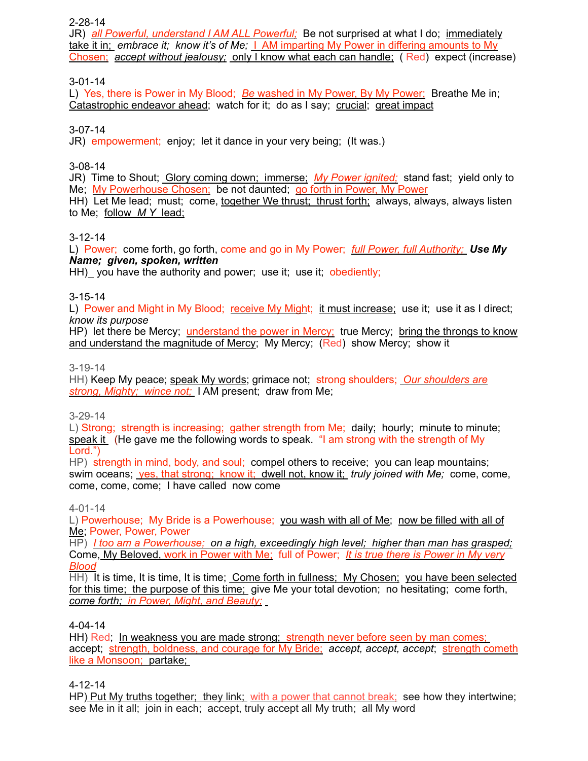#### 2-28-14

JR) *all Powerful, understand I AM ALL Powerful;* Be not surprised at what I do; immediately take it in; *embrace it; know it's of Me;* I AM imparting My Power in differing amounts to My Chosen; *accept without jealousy;* only I know what each can handle; ( Red) expect (increase)

## 3-01-14

L) Yes, there is Power in My Blood; *Be* washed in My Power, By My Power; Breathe Me in; Catastrophic endeavor ahead; watch for it; do as I say; crucial; great impact

## 3-07-14

JR) empowerment; enjoy; let it dance in your very being; (It was.)

## 3-08-14

JR) Time to Shout; Glory coming down; immerse; *My Power ignited;* stand fast; yield only to Me; My Powerhouse Chosen; be not daunted; go forth in Power, My Power HH) Let Me lead; must; come, together We thrust; thrust forth; always, always, always listen to Me; follow *M Y* lead;

## 3-12-14

L) Power; come forth, go forth, come and go in My Power; *full Power, full Authority; Use My Name; given, spoken, written*

HH) you have the authority and power; use it; use it; obediently;

## 3-15-14

L) Power and Might in My Blood; receive My Might; it must increase; use it; use it as I direct; *know its purpose*

HP) let there be Mercy; understand the power in Mercy; true Mercy; bring the throngs to know and understand the magnitude of Mercy; My Mercy; (Red) show Mercy; show it

#### 3-19-14

HH) Keep My peace; speak My words; grimace not; strong shoulders; *Our shoulders are strong, Mighty; wince not;* I AM present; draw from Me;

#### 3-29-14

L) Strong; strength is increasing; gather strength from Me; daily; hourly; minute to minute; speak it (He gave me the following words to speak. "I am strong with the strength of My Lord.")

HP) strength in mind, body, and soul; compel others to receive; you can leap mountains; swim oceans; yes, that strong; know it; dwell not, know it; *truly joined with Me;* come, come, come, come, come; I have called now come

#### 4-01-14

L) Powerhouse; My Bride is a Powerhouse; you wash with all of Me; now be filled with all of Me; Power, Power, Power

HP) *I too am a Powerhouse; on a high, exceedingly high level; higher than man has grasped;* Come, My Beloved, work in Power with Me; full of Power; *It is true there is Power in My very Blood*

HH) It is time, It is time, It is time; Come forth in fullness; My Chosen; you have been selected for this time; the purpose of this time; give Me your total devotion; no hesitating; come forth, *come forth; in Power, Might, and Beauty;*

#### 4-04-14

HH) Red; In weakness you are made strong; strength never before seen by man comes; accept; strength, boldness, and courage for My Bride; *accept, accept, accept*; strength cometh like a Monsoon; partake;

4-12-14

HP) Put My truths together; they link; with a power that cannot break; see how they intertwine; see Me in it all; join in each; accept, truly accept all My truth; all My word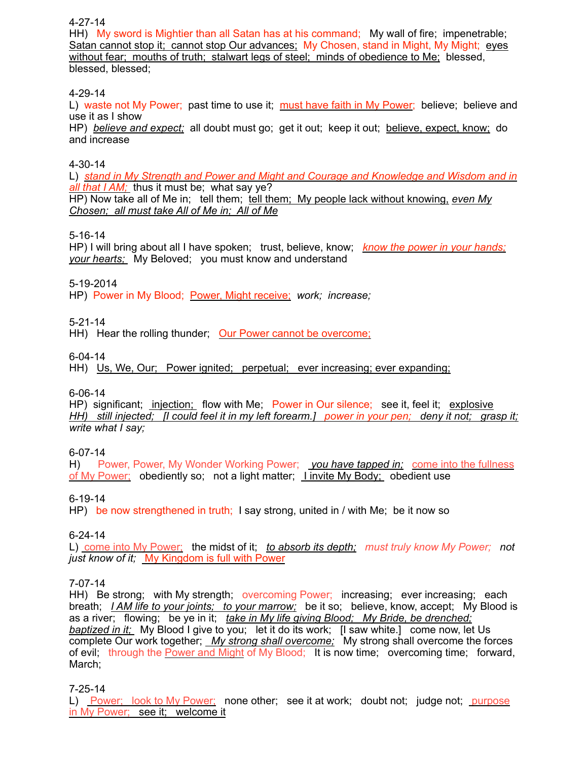## 4-27-14

HH) My sword is Mightier than all Satan has at his command; My wall of fire; impenetrable; Satan cannot stop it; cannot stop Our advances; My Chosen, stand in Might, My Might; eyes without fear; mouths of truth; stalwart legs of steel; minds of obedience to Me; blessed, blessed, blessed;

## 4-29-14

L) waste not My Power; past time to use it; must have faith in My Power; believe; believe and use it as I show

HP) *believe and expect;* all doubt must go; get it out; keep it out; believe, expect, know; do and increase

## 4-30-14

L) *stand in My Strength and Power and Might and Courage and Knowledge and Wisdom and in all that I AM;* thus it must be; what say ye? HP) Now take all of Me in; tell them; tell them; My people lack without knowing, *even My* 

*Chosen; all must take All of Me in; All of Me*

## 5-16-14

HP) I will bring about all I have spoken; trust, believe, know; *know the power in your hands; your hearts;* My Beloved; you must know and understand

5-19-2014

HP) Power in My Blood; Power, Might receive; *work; increase;*

5-21-14

HH) Hear the rolling thunder; Our Power cannot be overcome;

6-04-14

HH) Us, We, Our; Power ignited; perpetual; ever increasing; ever expanding;

#### 6-06-14

HP) significant; injection; flow with Me; Power in Our silence; see it, feel it; explosive *HH) still injected; [I could feel it in my left forearm.] power in your pen; deny it not; grasp it; write what I say;*

#### 6-07-14

H) Power, Power, My Wonder Working Power; *you have tapped in;* come into the fullness of My Power; obediently so; not a light matter; I invite My Body; obedient use

## 6-19-14

HP) be now strengthened in truth; I say strong, united in / with Me; be it now so

#### 6-24-14

L) come into My Power; the midst of it; *to absorb its depth; must truly know My Power; not just know of it;* My Kingdom is full with Power

7-07-14

HH) Be strong; with My strength; overcoming Power; increasing; ever increasing; each breath; *I AM life to your joints; to your marrow;* be it so; believe, know, accept; My Blood is as a river; flowing; be ye in it; *take in My life giving Blood; My Bride, be drenched; baptized in it;* My Blood I give to you; let it do its work; [I saw white.] come now, let Us complete Our work together; *My strong shall overcome;* My strong shall overcome the forces of evil; through the Power and Might of My Blood; It is now time; overcoming time; forward, March;

#### 7-25-14

L) Power; look to My Power; none other; see it at work; doubt not; judge not; purpose in My Power; see it; welcome it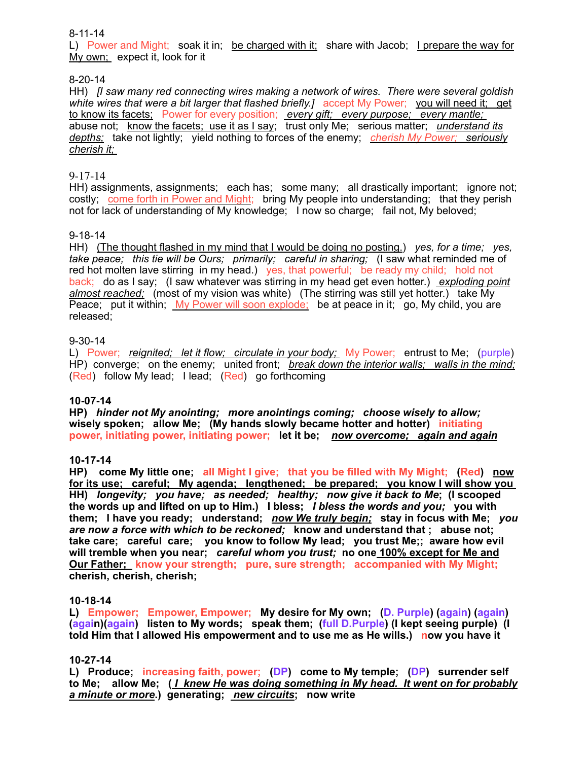8-11-14

L) Power and Might; soak it in; be charged with it; share with Jacob; I prepare the way for My own; expect it, look for it

## 8-20-14

HH) *[I saw many red connecting wires making a network of wires. There were several goldish white wires that were a bit larger that flashed briefly.]* accept My Power; you will need it; get to know its facets; Power for every position; *every gift; every purpose; every mantle;*  abuse not; know the facets; use it as I say; trust only Me; serious matter; *understand its depths;* take not lightly; yield nothing to forces of the enemy; *cherish My Power; seriously cherish it;* 

## 9-17-14

HH) assignments, assignments; each has; some many; all drastically important; ignore not; costly; come forth in Power and Might; bring My people into understanding; that they perish not for lack of understanding of My knowledge; I now so charge; fail not, My beloved;

## 9-18-14

HH) (The thought flashed in my mind that I would be doing no posting.) *yes, for a time; yes, take peace; this tie will be Ours; primarily; careful in sharing;* (I saw what reminded me of red hot molten lave stirring in my head.) yes, that powerful; be ready my child; hold not back; do as I say; (I saw whatever was stirring in my head get even hotter.) *exploding point almost reached;* (most of my vision was white) (The stirring was still yet hotter.) take My Peace; put it within; My Power will soon explode; be at peace in it; go, My child, you are released;

## 9-30-14

L) Power; *reignited; let it flow; circulate in your body;* My Power; entrust to Me; (purple) HP) converge; on the enemy; united front; *break down the interior walls; walls in the mind;* (Red) follow My lead; I lead; (Red) go forthcoming

#### **10-07-14**

**HP)** *hinder not My anointing; more anointings coming; choose wisely to allow;*  wisely spoken; allow Me; (My hands slowly became hotter and hotter) initiating **power, initiating power, initiating power; let it be;** *now overcome; again and again*

#### **10-17-14**

**HP) come My little one; all Might I give; that you be filled with My Might; (Red) now for its use; careful; My agenda; lengthened; be prepared; you know I will show you HH)** *longevity; you have; as needed; healthy; now give it back to Me***; (I scooped the words up and lifted on up to Him.) I bless;** *I bless the words and you;* **you with them; I have you ready; understand;** *now We truly begin;* **stay in focus with Me;** *you are now a force with which to be reckoned;* **know and understand that ; abuse not; take care; careful care; you know to follow My lead; you trust Me;; aware how evil will tremble when you near;** *careful whom you trust;* **no one 100% except for Me and Our Father: know your strength; pure, sure strength; accompanied with My Might; cherish, cherish, cherish;** 

#### **10-18-14**

**L) Empower; Empower, Empower; My desire for My own; (D. Purple) (again) (again) (again)(again) listen to My words; speak them; (full D.Purple) (I kept seeing purple) (I told Him that I allowed His empowerment and to use me as He wills.) now you have it**

#### **10-27-14**

**L) Produce; increasing faith, power; (DP) come to My temple; (DP) surrender self to Me; allow Me; (** *I knew He was doing something in My head. It went on for probably a minute or more***.) generating;** *new circuits***; now write**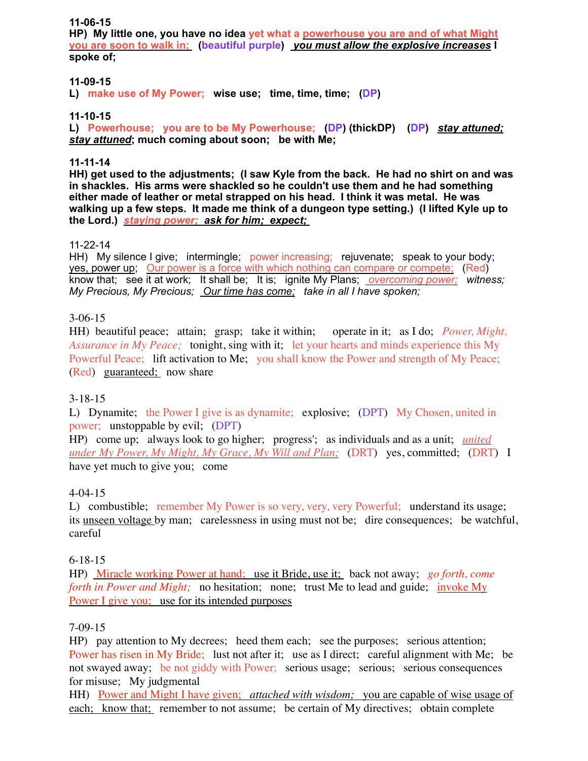#### **11-06-15**

**HP) My little one, you have no idea yet what a powerhouse you are and of what Might you are soon to walk in; (beautiful purple)** *you must allow the explosive increases* **I spoke of;** 

## **11-09-15**

**L) make use of My Power; wise use; time, time, time; (DP)**

## **11-10-15**

**L) Powerhouse; you are to be My Powerhouse; (DP) (thickDP) (DP)** *stay attuned; stay attuned***; much coming about soon; be with Me;**

## **11-11-14**

**HH) get used to the adjustments; (I saw Kyle from the back. He had no shirt on and was in shackles. His arms were shackled so he couldn't use them and he had something either made of leather or metal strapped on his head. I think it was metal. He was walking up a few steps. It made me think of a dungeon type setting.) (I lifted Kyle up to the Lord.)** *staying power; ask for him; expect;* 

## 11-22-14

HH) My silence I give; intermingle; power increasing; rejuvenate; speak to your body; yes, power up; Our power is a force with which nothing can compare or compete; (Red) know that; see it at work; It shall be; It is; ignite My Plans; *overcoming power; witness; My Precious, My Precious; Our time has come; take in all I have spoken;* 

## 3-06-15

HH) beautiful peace; attain; grasp; take it within; operate in it; as I do; *Power, Might, Assurance in My Peace;* tonight, sing with it; let your hearts and minds experience this My Powerful Peace; lift activation to Me; you shall know the Power and strength of My Peace; (Red) guaranteed; now share

## 3-18-15

L) Dynamite; the Power I give is as dynamite; explosive; (DPT) My Chosen, united in power; unstoppable by evil; (DPT)

HP) come up; always look to go higher; progress'; as individuals and as a unit; *united under My Power, My Might, My Grace, My Will and Plan;* (DRT) yes, committed; (DRT) I have yet much to give you; come

## 4-04-15

L) combustible; remember My Power is so very, very, very Powerful; understand its usage; its unseen voltage by man; carelessness in using must not be; dire consequences; be watchful, careful

## 6-18-15

HP) Miracle working Power at hand; use it Bride, use it; back not away; *go forth, come forth in Power and Might*; no hesitation; none; trust Me to lead and guide; invoke My Power I give you; use for its intended purposes

## 7-09-15

HP) pay attention to My decrees; heed them each; see the purposes; serious attention; Power has risen in My Bride; lust not after it; use as I direct; careful alignment with Me; be not swayed away; be not giddy with Power; serious usage; serious; serious consequences for misuse; My judgmental

HH) Power and Might I have given; *attached with wisdom;* you are capable of wise usage of each; know that; remember to not assume; be certain of My directives; obtain complete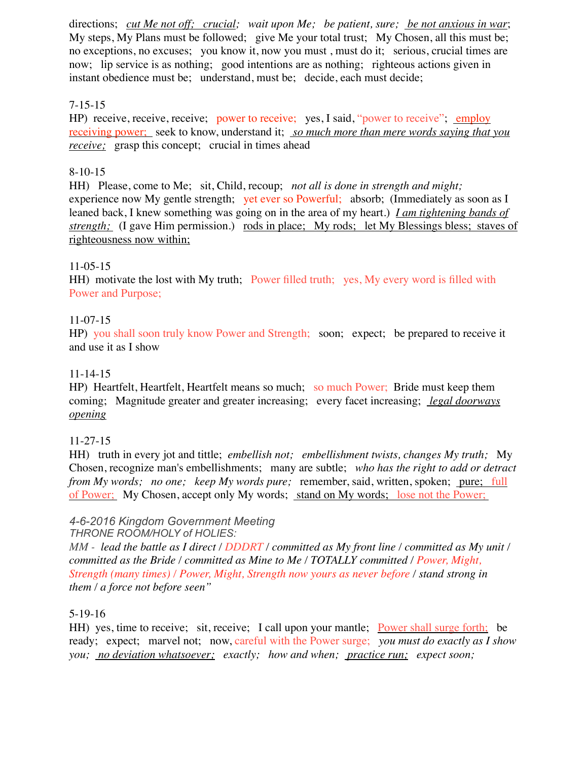directions; *cut Me not off; crucial; wait upon Me; be patient, sure; be not anxious in war*; My steps, My Plans must be followed; give Me your total trust; My Chosen, all this must be; no exceptions, no excuses; you know it, now you must , must do it; serious, crucial times are now; lip service is as nothing; good intentions are as nothing; righteous actions given in instant obedience must be; understand, must be; decide, each must decide;

## 7-15-15

HP) receive, receive, receive; power to receive; yes, I said, "power to receive"; employ receiving power; seek to know, understand it; *so much more than mere words saying that you receive*; grasp this concept; crucial in times ahead

## 8-10-15

HH) Please, come to Me; sit, Child, recoup; *not all is done in strength and might;* experience now My gentle strength; yet ever so Powerful; absorb; (Immediately as soon as I leaned back, I knew something was going on in the area of my heart.) *I am tightening bands of strength*; (I gave Him permission.) rods in place; My rods; let My Blessings bless; staves of righteousness now within;

## 11-05-15

HH) motivate the lost with My truth; Power filled truth; yes, My every word is filled with Power and Purpose;

## 11-07-15

HP) you shall soon truly know Power and Strength; soon; expect; be prepared to receive it and use it as I show

## 11-14-15

HP) Heartfelt, Heartfelt, Heartfelt means so much; so much Power; Bride must keep them coming; Magnitude greater and greater increasing; every facet increasing; *legal doorways opening*

## 11-27-15

HH) truth in every jot and tittle; *embellish not; embellishment twists, changes My truth;* My Chosen, recognize man's embellishments; many are subtle; *who has the right to add or detract from My words; no one; keep My words pure;* remember, said, written, spoken; pure; full of Power; My Chosen, accept only My words; stand on My words; lose not the Power;

## *4-6-2016 Kingdom Government Meeting*

*THRONE ROOM/HOLY of HOLIES:* 

*MM - lead the battle as I direct / DDDRT / committed as My front line / committed as My unit / committed as the Bride / committed as Mine to Me / TOTALLY committed / Power, Might, Strength (many times) / Power, Might, Strength now yours as never before / stand strong in them / a force not before seen"*

## 5-19-16

HH) yes, time to receive; sit, receive; I call upon your mantle; Power shall surge forth; be ready; expect; marvel not; now, careful with the Power surge; *you must do exactly as I show you; no deviation whatsoever; exactly; how and when; practice run; expect soon;*